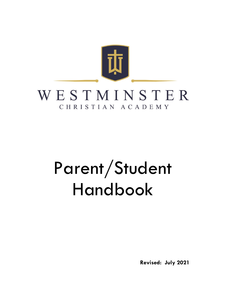

# Parent/Student Handbook

**Revised: July 2021**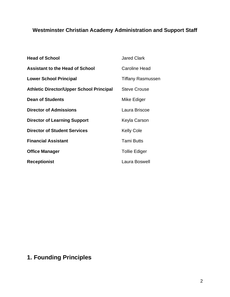## **Westminster Christian Academy Administration and Support Staff**

| <b>Head of School</b>                           | <b>Jared Clark</b>       |
|-------------------------------------------------|--------------------------|
| <b>Assistant to the Head of School</b>          | <b>Caroline Head</b>     |
| <b>Lower School Principal</b>                   | <b>Tiffany Rasmussen</b> |
| <b>Athletic Director/Upper School Principal</b> | <b>Steve Crouse</b>      |
| Dean of Students                                | Mike Ediger              |
| <b>Director of Admissions</b>                   | Laura Briscoe            |
| <b>Director of Learning Support</b>             | Keyla Carson             |
| <b>Director of Student Services</b>             | <b>Kelly Cole</b>        |
| <b>Financial Assistant</b>                      | <b>Tami Butts</b>        |
| <b>Office Manager</b>                           | <b>Tollie Ediger</b>     |
| <b>Receptionist</b>                             | Laura Boswell            |

## **1. Founding Principles**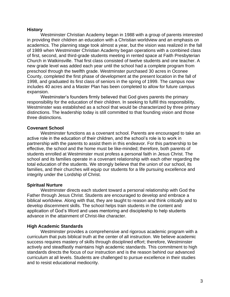#### **History**

Westminster Christian Academy began in 1988 with a group of parents interested in providing their children an education with a Christian worldview and an emphasis on academics. The planning stage took almost a year, but the vision was realized in the fall of 1989 when Westminster Christian Academy began operations with a combined class of first, second, and third-grade students meeting in rented space at Faith Presbyterian Church in Watkinsville. That first class consisted of twelve students and one teacher. A new grade level was added each year until the school had a complete program from preschool through the twelfth grade. Westminster purchased 30 acres in Oconee County, completed the first phase of development at the present location in the fall of 1998, and graduated its first class of seniors in the spring of 1999. The campus now includes 40 acres and a Master Plan has been completed to allow for future campus expansion.

Westminster's founders firmly believed that God gives parents the primary responsibility for the education of their children. In seeking to fulfill this responsibility, Westminster was established as a school that would be characterized by three primary distinctions. The leadership today is still committed to that founding vision and those three distinctions.

#### **Covenant School**

Westminster functions as a covenant school. Parents are encouraged to take an active role in the education of their children, and the school's role is to work in partnership with the parents to assist them in this endeavor. For this partnership to be effective, the school and the home must be like-minded; therefore, both parents of students enrolled at Westminster must profess a personal faith in Jesus Christ. The school and its families operate in a covenant relationship with each other regarding the total education of the students. We strongly believe that the union of our school, its families, and their churches will equip our students for a life pursuing excellence and integrity under the Lordship of Christ.

#### **Spiritual Nurture**

Westminster directs each student toward a personal relationship with God the Father through Jesus Christ. Students are encouraged to develop and embrace a biblical worldview. Along with that, they are taught to reason and think critically and to develop discernment skills. The school helps train students in the content and application of God's Word and uses mentoring and discipleship to help students advance in the attainment of Christ-like character.

#### **High Academic Standards**

Westminster provides a comprehensive and rigorous academic program with a curriculum that puts biblical truth at the center of all instruction. We believe academic success requires mastery of skills through disciplined effort; therefore, Westminster actively and steadfastly maintains high academic standards. This commitment to high standards directs the focus of our instruction and is the reason behind our advanced curriculum at all levels. Students are challenged to pursue excellence in their studies and to resist educational mediocrity.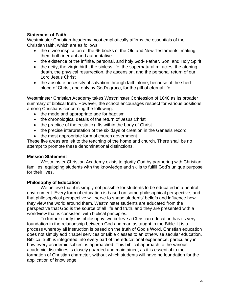#### **Statement of Faith**

Westminster Christian Academy most emphatically affirms the essentials of the Christian faith, which are as follows:

- the divine inspiration of the 66 books of the Old and New Testaments, making them both inerrant and authoritative
- the existence of the infinite, personal, and holy God- Father, Son, and Holy Spirit
- the deity, the virgin birth, the sinless life, the supernatural miracles, the atoning death, the physical resurrection, the ascension, and the personal return of our Lord Jesus Christ
- the absolute necessity of salvation through faith alone, because of the shed blood of Christ, and only by God's grace, for the gift of eternal life

Westminster Christian Academy takes Westminster Confession of 1648 as its broader summary of biblical truth. However, the school encourages respect for various positions among Christians concerning the following:

- the mode and appropriate age for baptism
- the chronological details of the return of Jesus Christ
- the practice of the ecstatic gifts within the body of Christ
- the precise interpretation of the six days of creation in the Genesis record
- the most appropriate form of church government

These five areas are left to the teaching of the home and church. There shall be no attempt to promote these denominational distinctions.

#### **Mission Statement**

Westminster Christian Academy exists to glorify God by partnering with Christian families; equipping students with the knowledge and skills to fulfill God's unique purpose for their lives.

#### **Philosophy of Education**

We believe that it is simply not possible for students to be educated in a neutral environment. Every form of education is based on some philosophical perspective, and that philosophical perspective will serve to shape students' beliefs and influence how they view the world around them. Westminster students are educated from the perspective that God is the source of all life and truth, and they are presented with a worldview that is consistent with biblical principles.

To further clarify this philosophy, we believe a Christian education has its very foundation in the relationship between God and man as taught in the Bible. It is a process whereby all instruction is based on the truth of God's Word. Christian education does not simply add chapel services or Bible classes to an otherwise secular education. Biblical truth is integrated into every part of the educational experience, particularly in how every academic subject is approached. This biblical approach to the various academic disciplines is closely guarded and maintained, as it is essential to the formation of Christian character, without which students will have no foundation for the application of knowledge.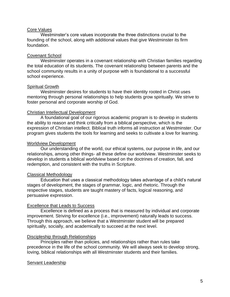#### Core Values

Westminster's core values incorporate the three distinctions crucial to the founding of the school, along with additional values that give Westminster its firm foundation.

#### Covenant School

Westminster operates in a covenant relationship with Christian families regarding the total education of its students. The covenant relationship between parents and the school community results in a unity of purpose with is foundational to a successful school experience.

#### Spiritual Growth

Westminster desires for students to have their identity rooted in Christ uses mentoring through personal relationships to help students grow spiritually. We strive to foster personal and corporate worship of God.

#### Christian Intellectual Development

A foundational goal of our rigorous academic program is to develop in students the ability to reason and think critically from a biblical perspective, which is the expression of Christian intellect. Biblical truth informs all instruction at Westminster. Our program gives students the tools for learning and seeks to cultivate a love for learning.

#### Worldview Development

Our understanding of the world, our ethical systems, our purpose in life, and our relationships, among other things- all these define our worldview. Westminster seeks to develop in students a biblical worldview based on the doctrines of creation, fall, and redemption, and consistent with the truths in Scripture.

#### Classical Methodology

Education that uses a classical methodology takes advantage of a child's natural stages of development, the stages of grammar, logic, and rhetoric. Through the respective stages, students are taught mastery of facts, logical reasoning, and persuasive expression.

#### Excellence that Leads to Success

Excellence is defined as a process that is measured by individual and corporate improvement. Striving for excellence (i.e., improvement) naturally leads to success. Through this approach, we believe that a Westminster student will be prepared spiritually, socially, and academically to succeed at the next level.

#### Discipleship through Relationships

Principles rather than policies, and relationships rather than rules take precedence in the life of the school community. We will always seek to develop strong, loving, biblical relationships with all Westminster students and their families.

#### Servant Leadership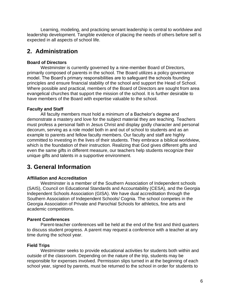Learning, modeling, and practicing servant leadership is central to worldview and leadership development. Tangible evidence of placing the needs of others before self is expected in all aspects of school life.

## **2. Administration**

#### **Board of Directors**

Westminster is currently governed by a nine-member Board of Directors, primarily composed of parents in the school. The Board utilizes a policy governance model. The Board's primary responsibilities are to safeguard the schools founding principles and ensure financial stability of the school and support the Head of School. Where possible and practical, members of the Board of Directors are sought from area evangelical churches that support the mission of the school. It is further desirable to have members of the Board with expertise valuable to the school.

#### **Faculty and Staff**

All faculty members must hold a minimum of a Bachelor's degree and demonstrate a mastery and love for the subject material they are teaching. Teachers must profess a personal faith in Jesus Christ and display godly character and personal decorum, serving as a role model both in and out of school to students and as an example to parents and fellow faculty members. Our faculty and staff are highly committed to investing in the lives of their students. They embrace a biblical worldview, which is the foundation of their instruction. Realizing that God gives different gifts and even the same gifts in different measure, our teachers help students recognize their unique gifts and talents in a supportive environment.

## **3. General Information**

#### **Affiliation and Accreditation**

Westminster is a member of the Southern Association of Independent schools (SAIS), Council on Educational Standards and Accountability (CESA), and the Georgia Independent Schools Association (GISA). We have dual accreditation through the Southern Association of Independent Schools/ Cognia. The school competes in the Georgia Association of Private and Parochial Schools for athletics, fine arts and academic competitions.

#### **Parent Conferences**

Parent-teacher conferences will be held at the end of the first and third quarters to discuss student progress. A parent may request a conference with a teacher at any time during the school year.

#### **Field Trips**

Westminster seeks to provide educational activities for students both within and outside of the classroom. Depending on the nature of the trip, students may be responsible for expenses involved. Permission slips turned in at the beginning of each school year, signed by parents, must be returned to the school in order for students to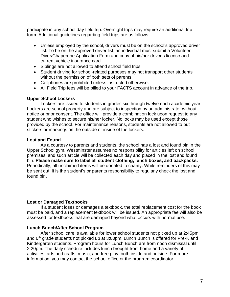participate in any school day field trip. Overnight trips may require an additional trip form. Additional guidelines regarding field trips are as follows:

- Unless employed by the school, drivers must be on the school's approved driver list. To be on the approved driver list, an individual must submit a Volunteer Diver/Chaperone Application Form and copy of his/her driver's license and current vehicle insurance card.
- Siblings are not allowed to attend school field trips.
- Student driving for school-related purposes may not transport other students without the permission of both sets of parents.
- Cellphones are prohibited unless instructed otherwise.
- All Field Trip fees will be billed to your FACTS account in advance of the trip.

#### **Upper School Lockers**

Lockers are issued to students in grades six through twelve each academic year. Lockers are school property and are subject to inspection by an administrator without notice or prior consent. The office will provide a combination lock upon request to any student who wishes to secure his/her locker. No locks may be used except those provided by the school. For maintenance reasons, students are not allowed to put stickers or markings on the outside or inside of the lockers.

#### **Lost and Found**

As a courtesy to parents and students, the school has a lost and found bin in the Upper School gym. Westminster assumes no responsibility for articles left on school premises, and such article will be collected each day and placed in the lost and found bin. **Please make sure to label all student clothing, lunch boxes, and backpacks.**  Periodically, all unclaimed items will be donated to charity. While reminders of this may be sent out, it is the student's or parents responsibility to regularly check the lost and found bin.

#### **Lost or Damaged Textbooks**

If a student loses or damages a textbook, the total replacement cost for the book must be paid, and a replacement textbook will be issued. An appropriate fee will also be assessed for textbooks that are damaged beyond what occurs with normal use.

#### **Lunch Bunch/After School Program**

After school care is available for lower school students not picked up at 2:45pm and 6<sup>th</sup> grade students not picked up at 3:00pm. Lunch Bunch is offered for Pre-K and Kindergarten students. Program hours for Lunch Bunch are from noon dismissal until 2:20pm. The daily schedule includes lunch brought from home and a variety of activities: arts and crafts, music, and free play, both inside and outside. For more information, you may contact the school office or the program coordinator.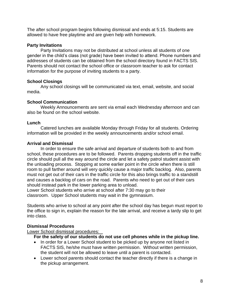The after school program begins following dismissal and ends at 5:15. Students are allowed to have free playtime and are given help with homework.

#### **Party Invitations**

Party Invitations may not be distributed at school unless all students of one gender in the child's class (not grade) have been invited to attend. Phone numbers and addresses of students can be obtained from the school directory found in FACTS SIS. Parents should not contact the school office or classroom teacher to ask for contact information for the purpose of inviting students to a party.

#### **School Closings**

Any school closings will be communicated via text, email, website, and social media.

#### **School Communication**

Weekly Announcements are sent via email each Wednesday afternoon and can also be found on the school website.

#### **Lunch**

Catered lunches are available Monday through Friday for all students. Ordering information will be provided in the weekly announcements and/or school email.

#### **Arrival and Dismissal**

In order to ensure the safe arrival and departure of students both to and from school, these procedures are to be followed. Parents dropping students off in the traffic circle should pull all the way around the circle and let a safety patrol student assist with the unloading process. Stopping at some earlier point in the circle when there is still room to pull farther around will very quickly cause a major traffic backlog. Also, parents must not get out of their cars in the traffic circle for this also brings traffic to a standstill and causes a backlog of cars on the road. Parents who need to get out of their cars should instead park in the lower parking area to unload.

Lower School students who arrive at school after 7:30 may go to their classroom. Upper School students may wait in the gymnasium.

Students who arrive to school at any point after the school day has begun must report to the office to sign in, explain the reason for the late arrival, and receive a tardy slip to get into class.

#### **Dismissal Procedures**

Lower School dismissal procedures:

**For the safety of our students do not use cell phones while in the pickup line.** 

- In order for a Lower School student to be picked up by anyone not listed in FACTS SIS, he/she must have written permission. Without written permission, the student will not be allowed to leave until a parent is contacted.
- Lower school parents should contact the teacher directly if there is a change in the pickup arrangement.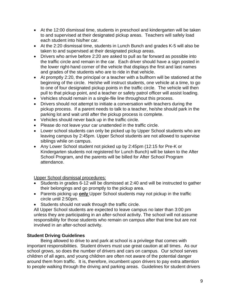- At the 12:00 dismissal time, students in preschool and kindergarten will be taken to and supervised at their designated pickup areas. Teachers will safely load each student into his/her car.
- At the 2:20 dismissal time, students in Lunch Bunch and grades K-5 will also be taken to and supervised at their designated pickup areas.
- Drivers who arrive before 2:20 are asked to pull as far forward as possible into the traffic circle and remain in the car. Each driver should have a sign posted in the lower right-hand corner of the vehicle that displays the first and last names and grades of the students who are to ride in that vehicle.
- At promptly 2:20, the principal or a teacher with a bullhorn will be stationed at the beginning of the circle. He/she will instruct students, one vehicle at a time, to go to one of four designated pickup points in the traffic circle. The vehicle will then pull to that pickup point, and a teacher or safety patrol officer will assist loading.
- Vehicles should remain in a single-file line throughout this process.
- Drivers should not attempt to initiate a conversation with teachers during the pickup process. If a parent needs to talk to a teacher, he/she should park in the parking lot and wait until after the pickup process is complete.
- Vehicles should never back up in the traffic circle.
- Please do not leave your car unattended in the traffic circle.
- Lower school students can only be picked up by Upper School students who are leaving campus by 2:45pm. Upper School students are not allowed to supervise siblings while on campus.
- Any Lower School student not picked up by 2:45pm (12:15 for Pre-K or Kindergarten students not registered for Lunch Bunch) will be taken to the After School Program, and the parents will be billed for After School Program attendance.

Upper School dismissal procedures:

- Students in grades 6-12 will be dismissed at 2:40 and will be instructed to gather their belongings and go promptly to the pickup area.
- Parents picking up **only** Upper School students may not pickup in the traffic circle until 2:50pm.
- Students should not walk through the traffic circle.

All Upper School students are expected to leave campus no later than 3:00 pm unless they are participating in an after-school activity. The school will not assume responsibility for those students who remain on campus after that time but are not involved in an after-school activity.

#### **Student Driving Guidelines**

Being allowed to drive to and park at school is a privilege that comes with important responsibilities. Student drivers must use great caution at all times. As our school grows, so does the number of drivers and cars on campus. Our school serves children of all ages, and young children are often not aware of the potential danger around them from traffic. It is, therefore, incumbent upon drivers to pay extra attention to people walking through the driving and parking areas. Guidelines for student drivers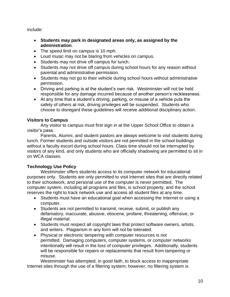include:

- **Students may park in designated areas only, as assigned by the administration**.
- The speed limit on campus is 10 mph.
- Loud music may not be blaring from vehicles on campus.
- Students may not drive off campus for lunch.
- Students may not drive off campus during school hours for any reason without parental and administrative permission.
- Students may not go to their vehicle during school hours without administrative permission.
- Driving and parking is at the student's own risk. Westminster will not be held responsible for any damage incurred because of another person's recklessness.
- At any time that a student's driving, parking, or misuse of a vehicle puts the safety of others at risk, driving privileges will be suspended. Students who choose to disregard these guidelines will receive additional disciplinary action.

#### **Visitors to Campus**

Any visitor to campus must first sign in at the Upper School Office to obtain a visitor's pass.

Parents, Alumni, and student pastors are always welcome to visit students during lunch. Former students and outside visitors are not permitted in the school buildings without a faculty escort during school hours. Class time should not be interrupted by visitors of any kind, and only students who are officially shadowing are permitted to sit in on WCA classes.

#### **Technology Use Policy**

Westminster offers students access to its computer network for educational purposes only. Students are only permitted to visit Internet sites that are directly related to their schoolwork, and personal use of the computer is never permitted. The computer system, including all programs and files, is school property, and the school reserves the right to track network use and access all student files at any time.

- Students must have an educational goal when accessing the Internet or using a computer.
- Students are not permitted to transmit, receive, submit, or publish any defamatory, inaccurate, abusive, obscene, profane, threatening, offensive, or illegal material.
- Students must respect all copyright laws that protect software owners, artists, and writers. Plagiarism in any form will not be tolerated.
- Physical or electronic tampering with computer resources is not permitted. Damaging computers, computer systems, or computer networks intentionally will result in the loss of computer privileges. Additionally, students will be responsible for repairs or replacements that result from tampering or misuse.

Westminster has attempted, in good faith, to block access to inappropriate Internet sites through the use of a filtering system; however, no filtering system is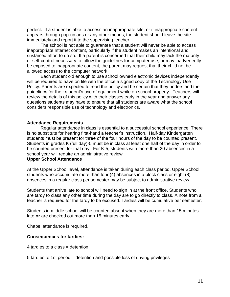perfect. If a student is able to access an inappropriate site, or if inappropriate content appears through pop-up ads or any other means, the student should leave the site immediately and report it to the supervising teacher.

The school is not able to guarantee that a student will never be able to access inappropriate Internet content, particularly if the student makes an intentional and sustained effort to do so. If a parent is concerned that their child may lack the maturity or self-control necessary to follow the guidelines for computer use, or may inadvertently be exposed to inappropriate content, the parent may request that their child not be allowed access to the computer network.

Each student old enough to use school owned electronic devices independently will be required to have on file with the office a signed copy of the Technology Use Policy. Parents are expected to read the policy and be certain that they understand the guidelines for their student's use of equipment while on school property. Teachers will review the details of this policy with their classes early in the year and answer any questions students may have to ensure that all students are aware what the school considers responsible use of technology and electronics.

#### **Attendance Requirements**

Regular attendance in class is essential to a successful school experience. There is no substitute for hearing first-hand a teacher's instruction. Half-day Kindergarten students must be present for three of the four hours of the day to be counted present. Students in grades K (full day)-5 must be in class at least one half of the day in order to be counted present for that day. For K-5, students with more than 20 absences in a school year will require an administrative review.

#### **Upper School Attendance**

At the Upper School level, attendance is taken during each class period. Upper School students who accumulate more than four (4) absences in a block class or eight (8) absences in a regular class per semester may be subject to administrative review.

Students that arrive late to school will need to sign in at the front office. Students who are tardy to class any other time during the day are to go directly to class. A note from a teacher is required for the tardy to be excused. Tardies will be cumulative per semester.

Students in middle school will be counted absent when they are more than 15 minutes late **or** are checked out more than 15 minutes early.

Chapel attendance is required.

#### **Consequences for tardies:**

4 tardies to a class = detention

5 tardies to 1st period = detention and possible loss of driving privileges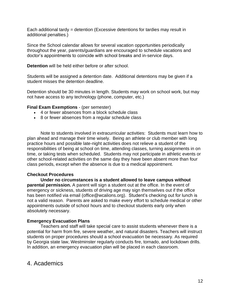Each additional tardy = detention (Excessive detentions for tardies may result in additional penalties.)

Since the School calendar allows for several vacation opportunities periodically throughout the year, parents/guardians are encouraged to schedule vacations and doctor's appointments to coincide with school breaks and in-service days.

**Detention** will be held either before or after school.

Students will be assigned a detention date. Additional detentions may be given if a student misses the detention deadline.

Detention should be 30 minutes in length. Students may work on school work, but may not have access to any technology (phone, computer, etc.)

#### **Final Exam Exemptions** - (per semester)

- 4 or fewer absences from a block schedule class
- 8 or fewer absences from a regular schedule class

Note to students involved in extracurricular activities: Students must learn how to plan ahead and manage their time wisely. Being an athlete or club member with long practice hours and possible late-night activities does not relieve a student of the responsibilities of being at school on time, attending classes, turning assignments in on time, or taking tests when scheduled. Students may not participate in athletic events or other school-related activities on the same day they have been absent more than four class periods, except when the absence is due to a medical appointment.

#### **Checkout Procedures**

**Under no circumstances is a student allowed to leave campus without parental permission.** A parent will sign a student out at the office. In the event of emergency or sickness, students of driving age may sign themselves out if the office has been notified via email [\(office@wcalions.org\)](mailto:office@wcalions.org). Student's checking out for lunch is not a valid reason. Parents are asked to make every effort to schedule medical or other appointments outside of school hours and to checkout students early only when absolutely necessary.

#### **Emergency Evacuation Plans**

Teachers and staff will take special care to assist students whenever there is a potential for harm from fire, severe weather, and natural disasters. Teachers will instruct students on proper procedures should a school evacuation be necessary. As required by Georgia state law, Westminster regularly conducts fire, tornado, and lockdown drills. In addition, an emergency evacuation plan will be placed in each classroom.

### 4. Academics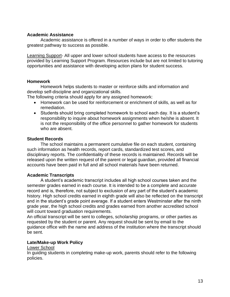#### **Academic Assistance**

Academic assistance is offered in a number of ways in order to offer students the greatest pathway to success as possible.

Learning Support- All upper and lower school students have access to the resources provided by Learning Support Program. Resources include but are not limited to tutoring opportunities and assistance with developing action plans for student success.

#### **Homework**

Homework helps students to master or reinforce skills and information and develop self-discipline and organizational skills.

The following criteria should apply for any assigned homework:

- Homework can be used for reinforcement or enrichment of skills, as well as for remediation.
- Students should bring completed homework to school each day. It is a student's responsibility to inquire about homework assignments when he/she is absent. It is not the responsibility of the office personnel to gather homework for students who are absent.

#### **Student Records**

The school maintains a permanent cumulative file on each student, containing such information as health records, report cards, standardized test scores, and disciplinary reports. The confidentiality of these records is maintained. Records will be released upon the written request of the parent or legal guardian, provided all financial accounts have been paid in full and all school materials have been returned.

#### **Academic Transcripts**

A student's academic transcript includes all high school courses taken and the semester grades earned in each course. It is intended to be a complete and accurate record and is, therefore, not subject to exclusion of any part of the student's academic history. High school credits earned in eighth grade will also be reflected on the transcript and in the student's grade point average. If a student enters Westminster after the ninth grade year, the high school credits and grades earned from another accredited school will count toward graduation requirements.

An official transcript will be sent to colleges, scholarship programs, or other parties as requested by the student or parent. Any request should be sent by email to the guidance office with the name and address of the institution where the transcript should be sent.

#### **Late/Make-up Work Policy**

#### Lower School

In guiding students in completing make-up work, parents should refer to the following policies.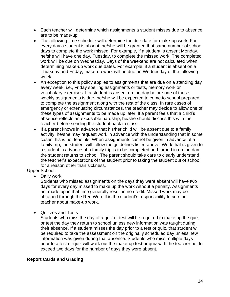- Each teacher will determine which assignments a student misses due to absence are to be made-up.
- The following time schedule will determine the due date for make-up work. For every day a student is absent, he/she will be granted that same number of school days to complete the work missed. For example, if a student is absent Monday, he/she will have one day, Tuesday, to complete the missed work. The completed work will be due on Wednesday. Days of the weekend are not calculated when determining make-up work due dates. For example, if a student is absent on a Thursday and Friday, make-up work will be due on Wednesday of the following week.
- An exception to this policy applies to assignments that are due on a standing day every week, i.e., Friday spelling assignments or tests, memory work or vocabulary exercises. If a student is absent on the day before one of these weekly assignments is due, he/she will be expected to come to school prepared to complete the assignment along with the rest of the class. In rare cases of emergency or extenuating circumstances, the teacher may decide to allow one of these types of assignments to be made up later. If a parent feels that a child's absence reflects an excusable hardship, he/she should discuss this with the teacher before sending the student back to class.
- If a parent knows in advance that his/her child will be absent due to a family activity, he/she may request work in advance with the understanding that in some cases this is not feasible. When assignments cannot be given in advance of a family trip, the student will follow the guidelines listed above. Work that is given to a student in advance of a family trip is to be completed and turned in on the day the student returns to school. The parent should take care to clearly understand the teacher's expectations of the student prior to taking the student out of school for a reason other than sickness.

#### Upper School

• Daily work

Students who missed assignments on the days they were absent will have two days for every day missed to make up the work without a penalty. Assignments not made up in that time generally result in no credit. Missed work may be obtained through the Ren Web. It is the student's responsibility to see the teacher about make-up work.

• Quizzes and Tests

Students who miss the day of a quiz or test will be required to make up the quiz or test the day they return to school unless new information was taught during their absence. If a student misses the day prior to a test or quiz, that student will be required to take the assessment on the originally scheduled day unless new information was given during that absence. Students who miss multiple days prior to a test or quiz will work out the make-up test or quiz with the teacher not to exceed two days for the number of days they were absent.

#### **Report Cards and Grading**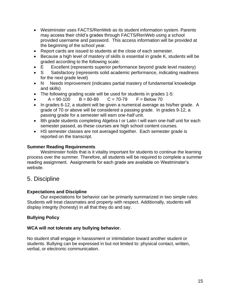- Westminster uses FACTS/RenWeb as its student information system. Parents may access their child's grades through FACTS/RenWeb using a school provided username and password. This access information will be provided at the beginning of the school year.
- Report cards are issued to students at the close of each semester.
- Because a high level of mastery of skills is essential in grade K, students will be graded according to the following scale:
- E Excellent (represents superior performance beyond grade level mastery)
- S Satisfactory (represents solid academic performance, indicating readiness for the next grade level)
- N Needs Improvement (indicates partial mastery of fundamental knowledge and skills)
- The following grading scale will be used for students in grades 1-5:
- $A = 90-100$  B = 80-89 C = 70-79 F = Below 70
- In grades 6-12, a student will be given a numerical average as his/her grade. A grade of 70 or above will be considered a passing grade. In grades 9-12, a passing grade for a semester will earn one-half unit.
- 8th grade students completing Algebra I or Latin I will earn one-half unit for each semester passed, as these courses are high school content courses.
- HS semester classes are not averaged together. Each semester grade is reported on the transcript.

#### **Summer Reading Requirements**

Westminster holds that is it vitality important for students to continue the learning process over the summer. Therefore, all students will be required to complete a summer reading assignment. Assignments for each grade are available on Westminster's website.

#### 5. Discipline

#### **Expectations and Discipline**

Our expectations for behavior can be primarily summarized in two simple rules: Students will treat classmates and property with respect. Additionally, students will display integrity (honesty) in all that they do and say.

#### **Bullying Policy**

#### **WCA will not tolerate any bullying behavior.**

No student shall engage in harassment or intimidation toward another student or students. Bullying can be expressed in but not limited to: physical contact, written, verbal, or electronic communication.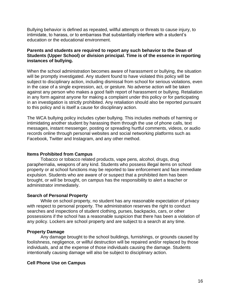Bullying behavior is defined as repeated, willful attempts or threats to cause injury, to intimidate, to harass, or to embarrass that substantially interfere with a student's education or the educational environment.

#### **Parents and students are required to report any such behavior to the Dean of Students (Upper School) or division principal. Time is of the essence in reporting instances of bullying.**

When the school administration becomes aware of harassment or bullying, the situation will be promptly investigated. Any student found to have violated this policy will be subject to disciplinary action, including dismissal from school for serious violations, even in the case of a single expression, act, or gesture. No adverse action will be taken against any person who makes a good faith report of harassment or bullying. Retaliation in any form against anyone for making a complaint under this policy or for participating in an investigation is strictly prohibited. Any retaliation should also be reported pursuant to this policy and is itself a cause for disciplinary action.

The WCA bullying policy includes cyber bullying. This includes methods of harming or intimidating another student by harassing them through the use of phone calls, text messages, instant messenger, posting or spreading hurtful comments, videos, or audio records online through personal websites and social networking platforms such as Facebook, Twitter and Instagram, and any other method.

#### **Items Prohibited from Campus**

Tobacco or tobacco related products, vape pens, alcohol, drugs, drug paraphernalia, weapons of any kind. Students who possess illegal items on school property or at school functions may be reported to law enforcement and face immediate expulsion. Students who are aware of or suspect that a prohibited item has been brought, or will be brought, on campus has the responsibility to alert a teacher or administrator immediately.

#### **Search of Personal Property**

While on school property, no student has any reasonable expectation of privacy with respect to personal property. The administration reserves the right to conduct searches and inspections of student clothing, purses, backpacks, cars, or other possessions if the school has a reasonable suspicion that there has been a violation of any policy. Lockers are school property and are subject to a search at any time.

#### **Property Damage**

Any damage brought to the school buildings, furnishings, or grounds caused by foolishness, negligence, or willful destruction will be repaired and/or replaced by those individuals, and at the expense of those individuals causing the damage. Students intentionally causing damage will also be subject to disciplinary action.

#### **Cell Phone Use on Campus**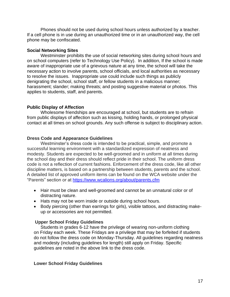Phones should not be used during school hours unless authorized by a teacher. If a cell phone is in use during an unauthorized time or in an unauthorized way, the cell phone may be confiscated.

#### **Social Networking Sites**

Westminster prohibits the use of social networking sites during school hours and on school computers (refer to Technology Use Policy). In addition, If the school is made aware of inappropriate use of a grievous nature at any time, the school will take the necessary action to involve parents, school officials, and local authorities as necessary to resolve the issues. Inappropriate use could include such things as publicly denigrating the school, school staff, or fellow students in a malicious manner; harassment; slander; making threats; and posting suggestive material or photos. This applies to students, staff, and parents.

#### **Public Display of Affection**

Wholesome friendships are encouraged at school, but students are to refrain from public displays of affection such as kissing, holding hands, or prolonged physical contact at all times on school grounds. Any such offense is subject to disciplinary action.

#### **Dress Code and Appearance Guidelines**

Westminster's dress code is intended to be practical, simple, and promote a successful learning environment with a standardized expression of neatness and modesty. Students are expected to be well-groomed and in uniform at all times during the school day and their dress should reflect pride in their school. The uniform dress code is not a reflection of current fashions. Enforcement of the dress code, like all other discipline matters, is based on a partnership between students, parents and the school. A detailed list of approved uniform items can be found on the WCA website under the "Parents" section or at <https://www.wcalions.org/about/parents.cfm>

- Hair must be clean and well-groomed and cannot be an unnatural color or of distracting nature.
- Hats may not be worn inside or outside during school hours.
- Body piercing (other than earrings for girls), visible tattoos, and distracting makeup or accessories are not permitted.

#### **Upper School Friday Guidelines**

Students in grades 6-12 have the privilege of wearing non-uniform clothing on Friday each week. These Fridays are a privilege that may be forfeited if students do not follow the dress code on Monday-Thursday. All guidelines regarding neatness and modesty (including guidelines for length) still apply on Friday. Specific guidelines are noted in the above link to the dress code.

#### **Lower School Friday Guidelines**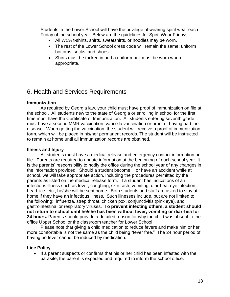Students in the Lower School will have the privilege of wearing spirit wear each Friday of the school year. Below are the guidelines for Spirit Wear Fridays:

- All WCA t-shirts, shirts, sweatshirts, or hoodies may be worn.
- The rest of the Lower School dress code will remain the same: uniform bottoms, socks, and shoes.
- Shirts must be tucked in and a uniform belt must be worn when appropriate.

## 6. Health and Services Requirements

#### **Immunization**

As required by Georgia law, your child must have proof of immunization on file at the school. All students new to the state of Georgia or enrolling in school for the first time must have the Certificate of Immunization. All students entering seventh grade must have a second MMR vaccination, varicella vaccination or proof of having had the disease. When getting the vaccination, the student will receive a proof of immunization form, which will be placed in his/her permanent records. The student will be instructed to remain at home until all immunization records are obtained.

#### **Illness and Injury**

All students must have a medical release and emergency contact information on file. Parents are required to update information at the beginning of each school year. It is the parents' responsibility to notify the office during the school year of any changes in the information provided. Should a student become ill or have an accident while at school, we will take appropriate action, including the procedures permitted by the parents as listed on the medical release form. If a student has indications of an infectious illness such as fever, coughing, skin rash, vomiting, diarrhea, eye infection, head lice, etc., he/she will be sent home. Both students and staff are asked to stay at home if they have an infectious illness. Such illnesses include, but are not limited to, the following: influenza, strep throat, chicken pox, conjunctivitis (pink eye), and gastrointestinal or respiratory viruses. **To prevent infecting others, a student should not return to school until he/she has been without fever, vomiting or diarrhea for 24 hours.** Parents should provide a detailed reason for why the child was absent to the office Upper School or the classroom teacher for Lower School.

Please note that giving a child medication to reduce fevers and make him or her more comfortable is not the same as the child being "fever free." The 24 hour period of having no fever cannot be induced by medication.

#### **Lice Policy**

• If a parent suspects or confirms that his or her child has been infested with the parasite, the parent is expected and required to inform the school office.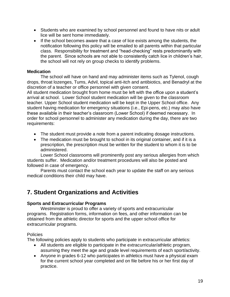- Students who are examined by school personnel and found to have nits or adult lice will be sent home immediately.
- If the school becomes aware that a case of lice exists among the students, the notification following this policy will be emailed to all parents within that particular class. Responsibility for treatment and "head-checking" rests predominantly with the parent. Since schools are not able to consistently catch lice in children's hair, the school will not rely on group checks to identify problems.

#### **Medication**

The school will have on hand and may administer items such as Tylenol, cough drops, throat lozenges, Tums, Advil, topical anti-itch and antibiotics, and Benadryl at the discretion of a teacher or office personnel with given consent.

All student medication brought from home must be left with the office upon a student's arrival at school. Lower School student medication will be given to the classroom teacher. Upper School student medication will be kept in the Upper School office. Any student having medication for emergency situations (i.e., Epi-pens, etc.) may also have these available in their teacher's classroom (Lower School) if deemed necessary. In order for school personnel to administer any medication during the day, there are two requirements:

- The student must provide a note from a parent indicating dosage instructions.
- The medication must be brought to school in its original container, and if it is a prescription, the prescription must be written for the student to whom it is to be administered.

Lower School classrooms will prominently post any serious allergies from which students suffer. Medication and/or treatment procedures will also be posted and followed in case of emergency.

Parents must contact the school each year to update the staff on any serious medical conditions their child may have.

## **7. Student Organizations and Activities**

#### **Sports and Extracurricular Programs**

Westminster is proud to offer a variety of sports and extracurricular programs. Registration forms, information on fees, and other information can be obtained from the athletic director for sports and the upper school office for extracurricular programs.

#### Policies

The following policies apply to students who participate in extracurricular athletics:

- All students are eligible to participate in the extracurricular/athletic program, assuming they meet the age and grade level requirements of each sport/activity.
- Anyone in grades 6-12 who participates in athletics must have a physical exam for the current school year completed and on file before his or her first day of practice.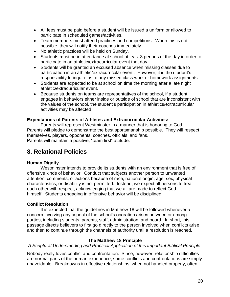- All fees must be paid before a student will be issued a uniform or allowed to participate in scheduled games/activities.
- Team members must attend practices and competitions. When this is not possible, they will notify their coaches immediately.
- No athletic practices will be held on Sunday.
- Students must be in attendance at school at least 3 periods of the day in order to participate in an athletic/extracurricular event that day.
- Students will be granted an excused absence when missing classes due to participation in an athletic/extracurricular event. However, it is the student's responsibility to inquire as to any missed class work or homework assignments.
- Students are expected to be at school on time the morning after a late night athletic/extracurricular event.
- Because students on teams are representatives of the school, if a student engages in behaviors either inside or outside of school that are inconsistent with the values of the school, the student's participation in athletics/extracurricular activities may be affected.

#### **Expectations of Parents of Athletes and Extracurricular Activities:**

Parents will represent Westminster in a manner that is honoring to God. Parents will pledge to demonstrate the best sportsmanship possible. They will respect themselves, players, opponents, coaches, officials, and fans. Parents will maintain a positive, "team first" attitude.

## **8. Relational Policies**

#### **Human Dignity**

Westminster intends to provide its students with an environment that is free of offensive kinds of behavior. Conduct that subjects another person to unwanted attention, comments, or actions because of race, national origin, age, sex, physical characteristics, or disability is not permitted. Instead, we expect all persons to treat each other with respect, acknowledging that we all are made to reflect God himself. Students engaging in offensive behavior will be disciplined.

#### **Conflict Resolution**

It is expected that the guidelines in Matthew 18 will be followed whenever a concern involving any aspect of the school's operation arises between or among parties, including students, parents, staff, administration, and board. In short, this passage directs believers to first go directly to the person involved when conflicts arise, and then to continue through the channels of authority until a resolution is reached.

#### **The Matthew 18 Principle**

*A Scriptural Understanding and Practical Application of this Important Biblical Principle.*

Nobody really loves conflict and confrontation. Since, however, relationship difficulties are normal parts of the human experience, some conflicts and confrontations are simply unavoidable. Breakdowns in effective relationships, when not handled properly, often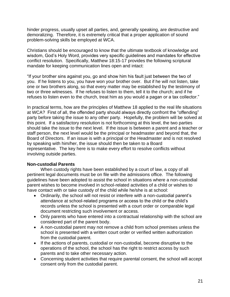hinder progress, usually upset all parties, and, generally speaking, are destructive and demoralizing. Therefore, it is extremely critical that a proper application of sound problem-solving skills be employed at WCA.

Christians should be encouraged to know that the ultimate textbook of knowledge and wisdom, God's Holy Word, provides very specific guidelines and mandates for effective conflict resolution. Specifically, Matthew 18:15-17 provides the following scriptural mandate for keeping communication lines open and intact:

"If your brother sins against you, go and show him his fault just between the two of you. If he listens to you, you have won your brother over. But if he will not listen, take one or two brothers along, so that every matter may be established by the testimony of two or three witnesses. If he refuses to listen to them, tell it to the church; and if he refuses to listen even to the church, treat him as you would a pagan or a tax collector."

In practical terms, how are the principles of Matthew 18 applied to the real life situations at WCA? First of all, the offended party should always directly confront the "offending" party before taking the issue to any other party. Hopefully, the problem will be solved at this point. If a satisfactory resolution is not forthcoming at this level, the two parties should take the issue to the next level. If the issue is between a parent and a teacher or staff person, the next level would be the principal or headmaster and beyond that, the Board of Directors. If an issue is with a principal or the Headmaster and is not resolved by speaking with him/her, the issue should then be taken to a Board representative. The key here is to make every effort to resolve conflicts without involving outside parties.

#### **Non-custodial Parents**

When custody rights have been established by a court of law, a copy of all pertinent legal documents must be on file with the admissions office. The following guidelines have been adopted to assist the school in situations where a non-custodial parent wishes to become involved in school-related activities of a child or wishes to have contact with or take custody of the child while he/she is at school:

- Ordinarily, the school will not resist or interfere with a non-custodial parent's attendance at school-related programs or access to the child or the child's records unless the school is presented with a court order or comparable legal document restricting such involvement or access.
- Only parents who have entered into a contractual relationship with the school are considered part of the parent body.
- A non-custodial parent may not remove a child from school premises unless the school is presented with a written court order or verified written authorization from the custodial parent.
- If the actions of parents, custodial or non-custodial, become disruptive to the operations of the school, the school has the right to restrict access by such parents and to take other necessary action.
- Concerning student activities that require parental consent, the school will accept consent only from the custodial parent.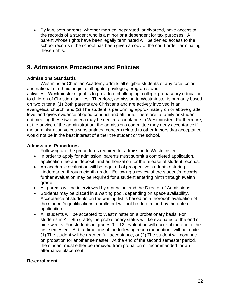• By law, both parents, whether married, separated, or divorced, have access to the records of a student who is a minor or a dependent for tax purposes. A parent whose rights have been legally terminated will be denied access to the school records if the school has been given a copy of the court order terminating these rights.

## **9. Admissions Procedures and Policies**

#### **Admissions Standards**

Westminster Christian Academy admits all eligible students of any race, color, and national or ethnic origin to all rights, privileges, programs, and activities. Westminster's goal is to provide a challenging, college-preparatory education to children of Christian families. Therefore, admission to Westminster is primarily based on two criteria: (1) Both parents are Christians and are actively involved in an evangelical church, and (2) The student is performing approximately on or above grade level and gives evidence of good conduct and attitude. Therefore, a family or student not meeting these two criteria may be denied acceptance to Westminster. Furthermore, at the advice of the administration, the admissions committee may deny acceptance if the administration voices substantiated concern related to other factors that acceptance would not be in the best interest of either the student or the school.

#### **Admissions Procedures**

Following are the procedures required for admission to Westminster:

- In order to apply for admission, parents must submit a completed application, application fee and deposit, and authorization for the release of student records.
- An academic evaluation will be required of prospective students entering kindergarten through eighth grade. Following a review of the student's records, further evaluation may be required for a student entering ninth through twelfth grade.
- All parents will be interviewed by a principal and the Director of Admissions.
- Students may be placed in a waiting pool, depending on space availability. Acceptance of students on the waiting list is based on a thorough evaluation of the student's qualifications; enrollment will not be determined by the date of application.
- All students will be accepted to Westminster on a probationary basis. For students in K – 8th grade, the probationary status will be evaluated at the end of nine weeks. For students in grades  $9 - 12$ , evaluation will occur at the end of the first semester. At that time one of the following recommendations will be made: (1) The student will be granted full acceptance, or (2) The student will continue on probation for another semester. At the end of the second semester period, the student must either be removed from probation or recommended for an alternative placement.

#### **Re-enrollment**